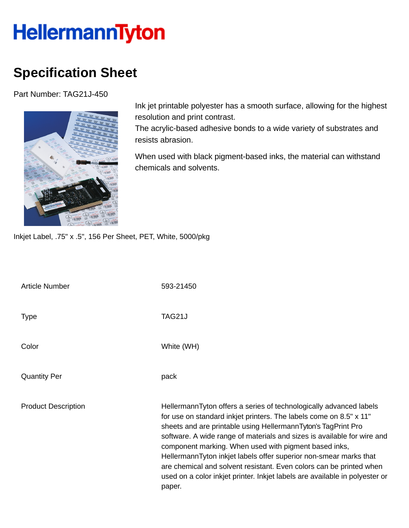## **HellermannTyton**

## **Specification Sheet**

Part Number: TAG21J-450



Ink jet printable polyester has a smooth surface, allowing for the highest resolution and print contrast.

The acrylic-based adhesive bonds to a wide variety of substrates and resists abrasion.

When used with black pigment-based inks, the material can withstand chemicals and solvents.

Inkjet Label, .75" x .5", 156 Per Sheet, PET, White, 5000/pkg

| <b>Article Number</b>      | 593-21450                                                                                                                                                                                                                                                                                                                                                                                                                                                                                                                                                                          |
|----------------------------|------------------------------------------------------------------------------------------------------------------------------------------------------------------------------------------------------------------------------------------------------------------------------------------------------------------------------------------------------------------------------------------------------------------------------------------------------------------------------------------------------------------------------------------------------------------------------------|
| <b>Type</b>                | TAG21J                                                                                                                                                                                                                                                                                                                                                                                                                                                                                                                                                                             |
| Color                      | White (WH)                                                                                                                                                                                                                                                                                                                                                                                                                                                                                                                                                                         |
| <b>Quantity Per</b>        | pack                                                                                                                                                                                                                                                                                                                                                                                                                                                                                                                                                                               |
| <b>Product Description</b> | HellermannTyton offers a series of technologically advanced labels<br>for use on standard inkjet printers. The labels come on 8.5" x 11"<br>sheets and are printable using HellermannTyton's TagPrint Pro<br>software. A wide range of materials and sizes is available for wire and<br>component marking. When used with pigment based inks,<br>HellermannTyton inkjet labels offer superior non-smear marks that<br>are chemical and solvent resistant. Even colors can be printed when<br>used on a color inkjet printer. Inkjet labels are available in polyester or<br>paper. |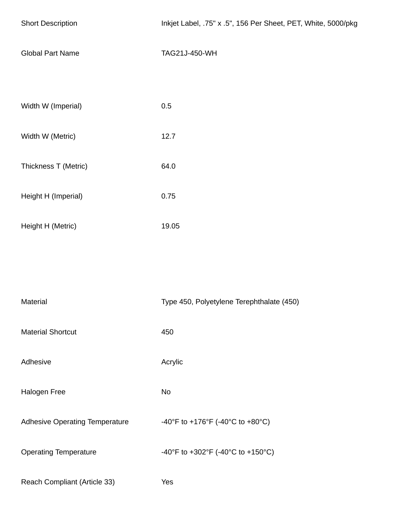| <b>Short Description</b>       | Inkjet Label, .75" x .5", 156 Per Sheet, PET, White, 5000/pkg |
|--------------------------------|---------------------------------------------------------------|
| <b>Global Part Name</b>        | TAG21J-450-WH                                                 |
| Width W (Imperial)             | 0.5                                                           |
| Width W (Metric)               | 12.7                                                          |
| Thickness T (Metric)           | 64.0                                                          |
| Height H (Imperial)            | 0.75                                                          |
| Height H (Metric)              | 19.05                                                         |
|                                |                                                               |
| Material                       | Type 450, Polyetylene Terephthalate (450)                     |
| <b>Material Shortcut</b>       | 450                                                           |
| Adhesive                       | Acrylic                                                       |
| Halogen Free                   | No                                                            |
| Adhesive Operating Temperature | -40°F to +176°F (-40°C to +80°C)                              |
| <b>Operating Temperature</b>   | -40°F to +302°F (-40°C to +150°C)                             |
| Reach Compliant (Article 33)   | Yes                                                           |